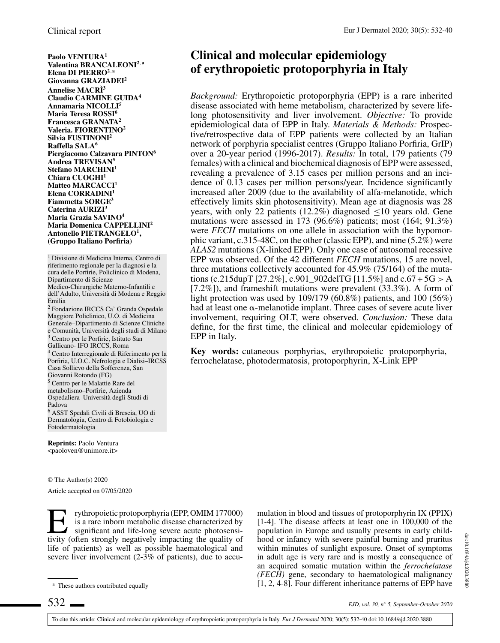**Paolo VENTURA1 Valentina BRANCALEONI2**,**<sup>a</sup> Elena DI PIERRO2**,**<sup>a</sup> Giovanna GRAZIADEI2 Annelise MACR` I3 Claudio CARMINE GUIDA4 Annamaria NICOLLI5 Maria Teresa ROSSI6 Francesca GRANATA2 Valeria. FIORENTINO2 Silvia FUSTINONI2 Raffella SALA6 Piergiacomo Calzavara PINTON6 Andrea TREVISAN5** Stefano MARCHINI<sup>1</sup> **Chiara CUOGHI1 Matteo MARCACCI1 Elena CORRADINI1 Fiammetta SORGE3 Caterina AURIZI3 Maria Grazia SAVINO4 Maria Domenica CAPPELLINI2 Antonello PIETRANGELO1, (Gruppo Italiano Porfiria)**

<sup>1</sup> Divisione di Medicina Interna, Centro di riferimento regionale per la diagnosi e la cura delle Porfirie, Policlinico di Modena, Dipartimento di Scienze Medico-Chirurgiche Materno-Infantili e dell'Adulto, Università di Modena e Reggio Emilia <sup>2</sup> Fondazione IRCCS Ca' Granda Ospedale Maggiore Policlinico, U.O. di Medicina Generale–Dipartimento di Scienze Cliniche e Comunità, Università degli studi di Milano Centro per le Porfirie, Istituto San Gallicano- IFO IRCCS, Roma <sup>4</sup> Centro Interregionale di Riferimento per la Porfiria, U.O.C. Nefrologia e Dialisi–IRCSS

Casa Sollievo della Sofferenza, San Giovanni Rotondo (FG) <sup>5</sup> Centro per le Malattie Rare del metabolismo–Porfirie, Azienda

Ospedaliera–Università degli Studi di Padova

<sup>6</sup> ASST Spedali Civili di Brescia, UO di Dermatologia, Centro di Fotobiologia e Fotodermatologia

**Reprints:** Paolo Ventura <paoloven@unimore.it>

© The Author(s) 2020 Article accepted on 07/05/2020

rythropoietic protoporphyria (EPP, OMIM 177000) is a rare inborn metabolic disease characterized by significant and life-long severe acute photosensitivity (often strongly negatively impacting the quality of life of patients) as well as possible haematological and severe liver involvement (2-3% of patients), due to accu-

# **Clinical and molecular epidemiology of erythropoietic protoporphyria in Italy**

*Background:* Erythropoietic protoporphyria (EPP) is a rare inherited disease associated with heme metabolism, characterized by severe lifelong photosensitivity and liver involvement. *Objective:* To provide epidemiological data of EPP in Italy. *Materials & Methods:* Prospective/retrospective data of EPP patients were collected by an Italian network of porphyria specialist centres (Gruppo Italiano Porfiria, GrIP) over a 20-year period (1996-2017). *Results:* In total, 179 patients (79 females) with a clinical and biochemical diagnosis of EPP were assessed, revealing a prevalence of 3.15 cases per million persons and an incidence of 0.13 cases per million persons/year. Incidence significantly increased after 2009 (due to the availability of alfa-melanotide, which effectively limits skin photosensitivity). Mean age at diagnosis was 28 years, with only 22 patients (12.2%) diagnosed  $\leq$ 10 years old. Gene mutations were assessed in 173 (96.6%) patients; most (164; 91.3%) were *FECH* mutations on one allele in association with the hypomorphic variant, c.315-48C, on the other (classic EPP), and nine (5.2%) were *ALAS2* mutations (X-linked EPP). Only one case of autosomal recessive EPP was observed. Of the 42 different *FECH* mutations, 15 are novel, three mutations collectively accounted for 45.9% (75/164) of the mutations (c.215dupT [27.2%], c.901\_902delTG [11.5%] and c.67 + 5G > A [7.2%]), and frameshift mutations were prevalent (33.3%). A form of light protection was used by  $109/179$  (60.8%) patients, and  $100$  (56%) had at least one  $\alpha$ -melanotide implant. Three cases of severe acute liver involvement, requiring OLT, were observed. *Conclusion:* These data define, for the first time, the clinical and molecular epidemiology of EPP in Italy.

**Key words:** cutaneous porphyrias, erythropoietic protoporphyria, ferrochelatase, photodermatosis, protoporphyrin, X-Link EPP

> mulation in blood and tissues of protoporphyrin IX (PPIX) [\[1-4\].](#page-7-0) The disease affects at least one in 100,000 of the population in Europe and usually presents in early childhood or infancy with severe painful burning and pruritus within minutes of sunlight exposure. Onset of symptoms in adult age is very rare and is mostly a consequence of an acquired somatic mutation within the *ferrochelatase (FECH)* gene, secondary to haematological malignancy [\[1, 2, 4-8\].](#page-7-0) Four different inheritance patterns of EPP have

a These authors contributed equally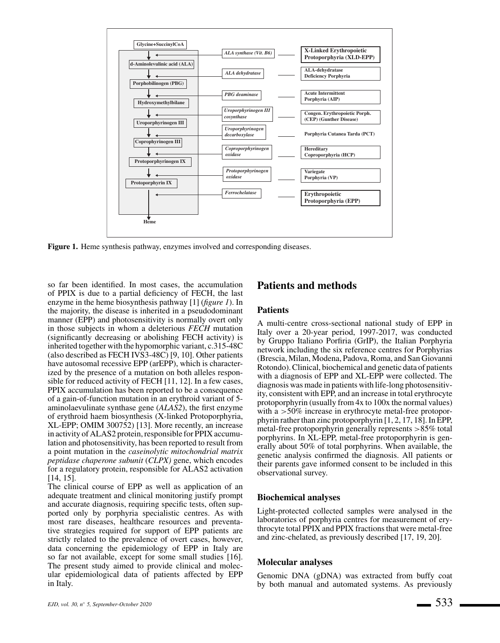

**Figure 1.** Heme synthesis pathway, enzymes involved and corresponding diseases.

so far been identified. In most cases, the accumulation of PPIX is due to a partial deficiency of FECH, the last enzyme in the heme biosynthesis pathway [\[1\] \(](#page-7-0)*figure 1*). In the majority, the disease is inherited in a pseudodominant manner (EPP) and photosensitivity is normally overt only in those subjects in whom a deleterious *FECH* mutation (significantly decreasing or abolishing FECH activity) is inherited together with the hypomorphic variant, c.315-48C (also described as FECH IVS3-48C) [\[9, 10\]. O](#page-8-0)ther patients have autosomal recessive EPP (arEPP), which is characterized by the presence of a mutation on both alleles responsible for reduced activity of FECH [\[11, 12\]. I](#page-8-0)n a few cases, PPIX accumulation has been reported to be a consequence of a gain-of-function mutation in an erythroid variant of 5 aminolaevulinate synthase gene (*ALAS2*), the first enzyme of erythroid haem biosynthesis (X-linked Protoporphyria, XL-EPP; OMIM 300752) [\[13\].](#page-8-0) More recently, an increase in activity of ALAS2 protein, responsible for PPIX accumulation and photosensitivity, has been reported to result from a point mutation in the *caseinolytic mitochondrial matrix peptidase chaperone subunit* (*CLPX)* gene, which encodes for a regulatory protein, responsible for ALAS2 activation [\[14, 15\].](#page-8-0)

The clinical course of EPP as well as application of an adequate treatment and clinical monitoring justify prompt and accurate diagnosis, requiring specific tests, often supported only by porphyria specialistic centres. As with most rare diseases, healthcare resources and preventative strategies required for support of EPP patients are strictly related to the prevalence of overt cases, however, data concerning the epidemiology of EPP in Italy are so far not available, except for some small studies [\[16\].](#page-8-0) The present study aimed to provide clinical and molecular epidemiological data of patients affected by EPP in Italy.

## **Patients and methods**

#### **Patients**

A multi-centre cross-sectional national study of EPP in Italy over a 20-year period, 1997-2017, was conducted by Gruppo Italiano Porfiria (GrIP), the Italian Porphyria network including the six reference centres for Porphyrias (Brescia, Milan, Modena, Padova, Roma, and San Giovanni Rotondo). Clinical, biochemical and genetic data of patients with a diagnosis of EPP and XL-EPP were collected. The diagnosis was made in patients with life-long photosensitivity, consistent with EPP, and an increase in total erythrocyte protoporphyrin (usually from 4x to 100x the normal values) with a  $>50\%$  increase in erythrocyte metal-free protoporphyrin rather than zinc protoporphyrin [\[1, 2, 17, 18\]. In](#page-7-0) EPP, metal-free protoporphyrin generally represents >85% total porphyrins. In XL-EPP, metal-free protoporphyrin is generally about 50% of total porphyrins. When available, the genetic analysis confirmed the diagnosis. All patients or their parents gave informed consent to be included in this observational survey.

#### **Biochemical analyses**

Light-protected collected samples were analysed in the laboratories of porphyria centres for measurement of erythrocyte total PPIX and PPIX fractions that were metal-free and zinc-chelated, as previously described [\[17, 19, 20\].](#page-8-0)

#### **Molecular analyses**

Genomic DNA (gDNA) was extracted from buffy coat by both manual and automated systems. As previously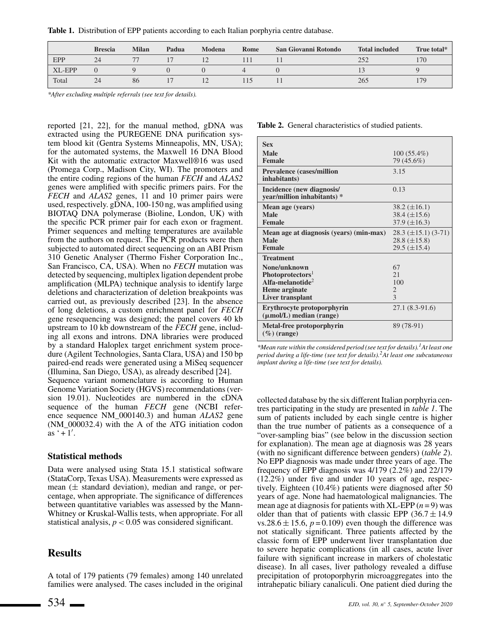<span id="page-2-0"></span>**Table 1.** Distribution of EPP patients according to each Italian porphyria centre database.

|        | <b>Brescia</b> | <b>Milan</b> | Padua | Modena | Rome | San Giovanni Rotondo | <b>Total included</b> | True total* |
|--------|----------------|--------------|-------|--------|------|----------------------|-----------------------|-------------|
| EPP    | 24             |              |       |        |      |                      | 252                   | 170         |
| XL-EPP |                |              |       |        |      |                      |                       |             |
| Total  | 24             | 86           |       |        |      |                      | 265                   | 179         |

*\*After excluding multiple referrals (see text for details).*

reported [\[21, 22\],](#page-8-0) for the manual method, gDNA was extracted using the PUREGENE DNA purification system blood kit (Gentra Systems Minneapolis, MN, USA); for the automated systems, the Maxwell 16 DNA Blood Kit with the automatic extractor Maxwell®16 was used (Promega Corp., Madison City, WI). The promoters and the entire coding regions of the human *FECH* and *ALAS2* genes were amplified with specific primers pairs. For the *FECH* and *ALAS2* genes, 11 and 10 primer pairs were used, respectively. gDNA, 100-150 ng, was amplified using BIOTAQ DNA polymerase (Bioline, London, UK) with the specific PCR primer pair for each exon or fragment. Primer sequences and melting temperatures are available from the authors on request. The PCR products were then subjected to automated direct sequencing on an ABI Prism 310 Genetic Analyser (Thermo Fisher Corporation Inc., San Francisco, CA, USA). When no *FECH* mutation was detected by sequencing, multiplex ligation dependent probe amplification (MLPA) technique analysis to identify large deletions and characterization of deletion breakpoints was carried out, as previously described [\[23\].](#page-8-0) In the absence of long deletions, a custom enrichment panel for *FECH* gene resequencing was designed; the panel covers 40 kb upstream to 10 kb downstream of the *FECH* gene, including all exons and introns. DNA libraries were produced by a standard Haloplex target enrichment system procedure (Agilent Technologies, Santa Clara, USA) and 150 bp paired-end reads were generated using a MiSeq sequencer (Illumina, San Diego, USA), as already described [\[24\].](#page-8-0)

Sequence variant nomenclature is according to Human Genome Variation Society (HGVS) recommendations (version 19.01). Nucleotides are numbered in the cDNA sequence of the human *FECH* gene (NCBI reference sequence NM\_000140.3) and human *ALAS2* gene (NM\_000032.4) with the A of the ATG initiation codon as  $\cdot$  + 1'.

## **Statistical methods**

Data were analysed using Stata 15.1 statistical software (StataCorp, Texas USA). Measurements were expressed as mean  $(\pm$  standard deviation), median and range, or percentage, when appropriate. The significance of differences between quantitative variables was assessed by the Mann-Whitney or Kruskal-Wallis tests, when appropriate. For all statistical analysis,  $p < 0.05$  was considered significant.

# **Results**

**Table 2.** General characteristics of studied patients.

| <b>Sex</b>                              |                              |
|-----------------------------------------|------------------------------|
| Male                                    | $100(55.4\%)$                |
| <b>Female</b>                           | 79 (45.6%)                   |
| <b>Prevalence (cases/million</b>        | 3.15                         |
| inhabitants)                            |                              |
| Incidence (new diagnosis/               | 0.13                         |
| year/million inhabitants) *             |                              |
| Mean age (years)                        | $38.2 \ (\pm 16.1)$          |
| Male                                    | $38.4 (\pm 15.6)$            |
| Female                                  | $37.9 \ (\pm 16.3)$          |
| Mean age at diagnosis (years) (min-max) | $28.3 \ (\pm 15.1) \ (3-71)$ |
| Male                                    | $28.8 (\pm 15.8)$            |
| Female                                  | $29.5 (\pm 15.4)$            |
| <b>Treatment</b>                        |                              |
| None/unknown                            | 67                           |
| Photoprotectors <sup>1</sup>            | 2.1                          |
| Alfa-melanotide <sup>2</sup>            | 100                          |
| Heme arginate                           | $\overline{2}$               |
| Liver transplant                        | 3                            |
| Erythrocyte protoporphyrin              | $27.1(8.3-91.6)$             |
| $(\mu \text{mol/L})$ median (range)     |                              |
| Metal-free protoporphyrin               | 89 (78-91)                   |
| $(\%)(\text{range})$                    |                              |

*\*Mean rate within the considered period (see text for details).1At least one period during a life-time (see text for details).2At least one subcutaneous implant during a life-time (see text for details).*

collected database by the six different Italian porphyria centres participating in the study are presented in *table 1*. The sum of patients included by each single centre is higher than the true number of patients as a consequence of a "over-sampling bias" (see below in the discussion section for explanation). The mean age at diagnosis was 28 years (with no significant difference between genders) (*table 2*). No EPP diagnosis was made under three years of age. The frequency of EPP diagnosis was 4/179 (2.2%) and 22/179 (12.2%) under five and under 10 years of age, respectively. Eighteen (10.4%) patients were diagnosed after 50 years of age. None had haematological malignancies. The mean age at diagnosis for patients with XL-EPP (*n* = 9) was older than that of patients with classic EPP (36.7  $\pm$  14.9 vs.28.6  $\pm$  15.6,  $p = 0.109$ ) even though the difference was not statically significant. Three patients affected by the classic form of EPP underwent liver transplantation due to severe hepatic complications (in all cases, acute liver failure with significant increase in markers of cholestatic disease). In all cases, liver pathology revealed a diffuse precipitation of protoporphyrin microaggregates into the intrahepatic biliary canaliculi. One patient died during the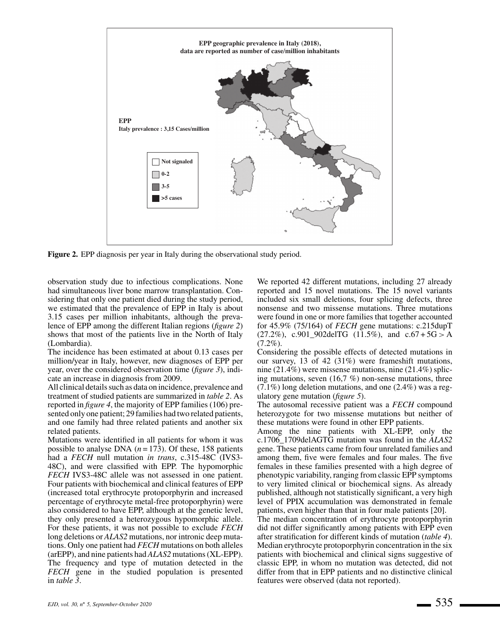<span id="page-3-0"></span>

**Figure 2.** EPP diagnosis per year in Italy during the observational study period.

observation study due to infectious complications. None had simultaneous liver bone marrow transplantation. Considering that only one patient died during the study period, we estimated that the prevalence of EPP in Italy is about 3.15 cases per million inhabitants, although the prevalence of EPP among the different Italian regions (*figure 2*) shows that most of the patients live in the North of Italy (Lombardia).

The incidence has been estimated at about 0.13 cases per million/year in Italy, however, new diagnoses of EPP per year, over the considered observation time (*[figure 3](#page-4-0)*), indicate an increase in diagnosis from 2009.

All clinical details such as data on incidence, prevalence and treatment of studied patients are summarized in *[table 2](#page-2-0)*. As reported in *[figure 4](#page-4-0)*, the majority of EPP families (106) presented only one patient; 29 families had two related patients, and one family had three related patients and another six related patients.

Mutations were identified in all patients for whom it was possible to analyse DNA  $(n = 173)$ . Of these, 158 patients had a *FECH* null mutation *in trans*, c.315-48C (IVS3- 48C), and were classified with EPP. The hypomorphic *FECH* IVS3-48C allele was not assessed in one patient. Four patients with biochemical and clinical features of EPP (increased total erythrocyte protoporphyrin and increased percentage of erythrocyte metal-free protoporphyrin) were also considered to have EPP, although at the genetic level, they only presented a heterozygous hypomorphic allele. For these patients, it was not possible to exclude *FECH* long deletions or  $ALAS2$  mutations, nor intronic deep mutations. Only one patient had *FECH* mutations on both alleles (arEPP), and nine patients had *ALAS2* mutations (XL-EPP). The frequency and type of mutation detected in the *FECH* gene in the studied population is presented in *[table 3](#page-5-0)*.

We reported 42 different mutations, including 27 already reported and 15 novel mutations. The 15 novel variants included six small deletions, four splicing defects, three nonsense and two missense mutations. Three mutations were found in one or more families that together accounted for 45.9% (75/164) of *FECH* gene mutations: c.215dupT (27.2%), c.901 902delTG (11.5%), and  $c.67 + 5G > A$  $(7.2\%)$ .

Considering the possible effects of detected mutations in our survey, 13 of 42 (31%) were frameshift mutations, nine (21.4%) were missense mutations, nine (21.4%) splicing mutations, seven  $(16,7,8)$  non-sense mutations, three (7.1%) long deletion mutations, and one (2.4%) was a regulatory gene mutation (*[figure 5](#page-6-0)*).

The autosomal recessive patient was a *FECH* compound heterozygote for two missense mutations but neither of these mutations were found in other EPP patients.

Among the nine patients with XL-EPP, only the c.1706\_1709delAGTG mutation was found in the *ALAS2* gene. These patients came from four unrelated families and among them, five were females and four males. The five females in these families presented with a high degree of phenotypic variability, ranging from classic EPP symptoms to very limited clinical or biochemical signs. As already published, although not statistically significant, a very high level of PPIX accumulation was demonstrated in female patients, even higher than that in four male patients [\[20\].](#page-8-0)

The median concentration of erythrocyte protoporphyrin did not differ significantly among patients with EPP even after stratification for different kinds of mutation (*[table 4](#page-6-0)*). Median erythrocyte protoporphyrin concentration in the six patients with biochemical and clinical signs suggestive of classic EPP, in whom no mutation was detected, did not differ from that in EPP patients and no distinctive clinical features were observed (data not reported).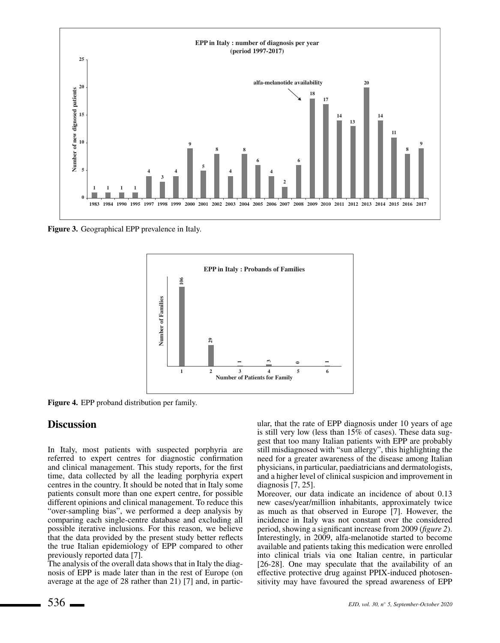<span id="page-4-0"></span>

**Figure 3.** Geographical EPP prevalence in Italy.



**Figure 4.** EPP proband distribution per family.

## **Discussion**

In Italy, most patients with suspected porphyria are referred to expert centres for diagnostic confirmation and clinical management. This study reports, for the first time, data collected by all the leading porphyria expert centres in the country. It should be noted that in Italy some patients consult more than one expert centre, for possible different opinions and clinical management. To reduce this "over-sampling bias", we performed a deep analysis by comparing each single-centre database and excluding all possible iterative inclusions. For this reason, we believe that the data provided by the present study better reflects the true Italian epidemiology of EPP compared to other previously reported data [\[7\].](#page-7-0)

The analysis of the overall data shows that in Italy the diagnosis of EPP is made later than in the rest of Europe (on average at the age of 28 rather than 21) [\[7\] a](#page-7-0)nd, in particular, that the rate of EPP diagnosis under 10 years of age is still very low (less than 15% of cases). These data suggest that too many Italian patients with EPP are probably still misdiagnosed with "sun allergy", this highlighting the need for a greater awareness of the disease among Italian physicians, in particular, paediatricians and dermatologists, and a higher level of clinical suspicion and improvement in diagnosis [\[7, 25\].](#page-7-0)

Moreover, our data indicate an incidence of about 0.13 new cases/year/million inhabitants, approximately twice as much as that observed in Europe [\[7\].](#page-7-0) However, the incidence in Italy was not constant over the considered period, showing a significant increase from 2009 (*[figure 2](#page-3-0)*). Interestingly, in 2009, alfa-melanotide started to become available and patients taking this medication were enrolled into clinical trials via one Italian centre, in particular [\[26-28\].](#page-8-0) One may speculate that the availability of an effective protective drug against PPIX-induced photosensitivity may have favoured the spread awareness of EPP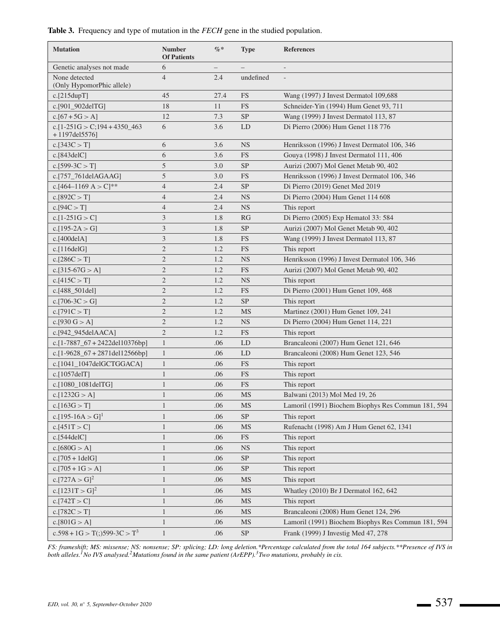<span id="page-5-0"></span>

|  | Table 3. Frequency and type of mutation in the FECH gene in the studied population. |  |  |  |  |  |  |  |  |  |  |  |  |  |  |
|--|-------------------------------------------------------------------------------------|--|--|--|--|--|--|--|--|--|--|--|--|--|--|
|--|-------------------------------------------------------------------------------------|--|--|--|--|--|--|--|--|--|--|--|--|--|--|

| <b>Mutation</b>                                          | <b>Number</b><br><b>Of Patients</b> | $\% *$                   | <b>Type</b> | <b>References</b>                                  |  |  |  |
|----------------------------------------------------------|-------------------------------------|--------------------------|-------------|----------------------------------------------------|--|--|--|
| Genetic analyses not made                                | 6                                   | $\overline{\phantom{0}}$ | $-$         | $\overline{\phantom{a}}$                           |  |  |  |
| None detected<br>(Only HypomorPhic allele)               | $\overline{4}$                      | 2.4                      | undefined   |                                                    |  |  |  |
| c.[215dupT]                                              | 45                                  | 27.4                     | <b>FS</b>   | Wang (1997) J Invest Dermatol 109,688              |  |  |  |
| c.[901_902delTG]                                         | 18                                  | 11                       | <b>FS</b>   | Schneider-Yin (1994) Hum Genet 93, 711             |  |  |  |
| c. $[67 + 5G > A]$                                       | 12                                  | 7.3                      | <b>SP</b>   | Wang (1999) J Invest Dermatol 113, 87              |  |  |  |
| c. $[1-251G > C; 194 + 4350$ 463<br>$+1197$ del $5576$ ] | 6                                   | 3.6                      | LD          | Di Pierro (2006) Hum Genet 118 776                 |  |  |  |
| c. $[343C > T]$                                          | 6                                   | 3.6                      | <b>NS</b>   | Henriksson (1996) J Invest Dermatol 106, 346       |  |  |  |
| c.[843delC]                                              | 6                                   | 3.6                      | <b>FS</b>   | Gouya (1998) J Invest Dermatol 111, 406            |  |  |  |
| c.[599-3C > T]                                           | 5                                   | 3.0                      | <b>SP</b>   | Aurizi (2007) Mol Genet Metab 90, 402              |  |  |  |
| c.[757_761delAGAAG]                                      | 5                                   | 3.0                      | FS          | Henriksson (1996) J Invest Dermatol 106, 346       |  |  |  |
| c.[464-1169 A > C]**                                     | $\overline{4}$                      | 2.4                      | <b>SP</b>   | Di Pierro (2019) Genet Med 2019                    |  |  |  |
| c.[892C > T]                                             | $\overline{4}$                      | 2.4                      | <b>NS</b>   | Di Pierro (2004) Hum Genet 114 608                 |  |  |  |
| c. $[94C > T]$                                           | $\overline{4}$                      | 2.4                      | <b>NS</b>   | This report                                        |  |  |  |
| c.[1-251G > C]                                           | 3                                   | 1.8                      | <b>RG</b>   | Di Pierro (2005) Exp Hematol 33: 584               |  |  |  |
| c.[195-2A > G]                                           | 3                                   | 1.8                      | <b>SP</b>   | Aurizi (2007) Mol Genet Metab 90, 402              |  |  |  |
| c.[400delA]                                              | 3                                   | 1.8                      | FS          | Wang (1999) J Invest Dermatol 113, 87              |  |  |  |
| c.[116delG]                                              | $\overline{2}$                      | 1.2                      | <b>FS</b>   | This report                                        |  |  |  |
| c.[286C > T]                                             | $\overline{2}$                      | 1.2                      | <b>NS</b>   | Henriksson (1996) J Invest Dermatol 106, 346       |  |  |  |
| c.[315-67G > A]                                          | $\mathfrak{2}$                      | 1.2                      | <b>FS</b>   | Aurizi (2007) Mol Genet Metab 90, 402              |  |  |  |
| c.[415C > T]                                             | $\mathfrak{2}$                      | 1.2                      | <b>NS</b>   | This report                                        |  |  |  |
| c.[488_501del]                                           | $\mathfrak{2}$                      | 1.2                      | FS          | Di Pierro (2001) Hum Genet 109, 468                |  |  |  |
| c.[706-3C $>$ G]                                         | $\mathfrak{2}$                      | 1.2                      | <b>SP</b>   | This report                                        |  |  |  |
| c.[791C > T]                                             | $\mathfrak{2}$                      | 1.2                      | MS          | Martinez (2001) Hum Genet 109, 241                 |  |  |  |
| c.[930 G $> A$ ]                                         | $\overline{2}$                      | 1.2                      | <b>NS</b>   | Di Pierro (2004) Hum Genet 114, 221                |  |  |  |
| c.[942_945delAACA]                                       | $\mathfrak{2}$                      | 1.2                      | <b>FS</b>   | This report                                        |  |  |  |
| c.[1-7887_67 + 2422del10376bp]                           | $\mathbf{1}$                        | .06                      | LD          | Brancaleoni (2007) Hum Genet 121, 646              |  |  |  |
| c. $[1-9628_67+2871$ del $12566bp]$                      | $\mathbf{1}$                        | .06                      | LD          | Brancaleoni (2008) Hum Genet 123, 546              |  |  |  |
| c.[1041_1047delGCTGGACA]                                 | $\mathbf{1}$                        | .06                      | <b>FS</b>   | This report                                        |  |  |  |
| c.[1057delT]                                             | $\mathbf{1}$                        | .06                      | <b>FS</b>   | This report                                        |  |  |  |
| c. $[1080_1081$ delTG]                                   | 1                                   | .06                      | FS          | This report                                        |  |  |  |
| c.[ $1232G > A$ ]                                        | 1                                   | .06                      | MS          | Balwani (2013) Mol Med 19, 26                      |  |  |  |
| c. $[163G > T]$                                          | $\mathbf{1}$                        | .06                      | MS          | Lamoril (1991) Biochem Biophys Res Commun 181, 594 |  |  |  |
| c.[195-16A > G] <sup>1</sup>                             | $\mathbf{1}$                        | $.06$                    | ${\rm SP}$  | This report                                        |  |  |  |
| c.[451T > C]                                             | $\mathbf{1}$                        | .06                      | MS          | Rufenacht (1998) Am J Hum Genet 62, 1341           |  |  |  |
| c.[544delC]                                              | $\mathbf{1}$                        | .06                      | <b>FS</b>   | This report                                        |  |  |  |
| c.[680G > A]                                             | $\mathbf{1}$                        | .06                      | <b>NS</b>   | This report                                        |  |  |  |
| $c.[705 + 1delG]$                                        | $\mathbf{1}$                        | .06                      | ${\rm SP}$  | This report                                        |  |  |  |
| $c.[705+1G > A]$                                         | $\mathbf{1}$                        | .06                      | <b>SP</b>   | This report                                        |  |  |  |
| c.[727A > G] <sup>2</sup>                                | $\mathbf{1}$                        | .06                      | <b>MS</b>   | This report                                        |  |  |  |
|                                                          |                                     |                          |             |                                                    |  |  |  |
| c. $[1231T > G]^2$                                       | $\mathbf{1}$                        | .06                      | <b>MS</b>   | Whatley (2010) Br J Dermatol 162, 642              |  |  |  |
| c.[742T>C]                                               | $\mathbf{1}$                        | .06                      | MS          | This report                                        |  |  |  |
| c.[782 $C > T$ ]                                         | $\mathbf{1}$                        | .06                      | MS          | Brancaleoni (2008) Hum Genet 124, 296              |  |  |  |
| c.[ $801G > A$ ]                                         | 1                                   | .06                      | <b>MS</b>   | Lamoril (1991) Biochem Biophys Res Commun 181, 594 |  |  |  |
| $c.598 + 1G > T(3599 - 3C > T3)$                         | $\mathbf{1}$                        | .06                      | ${\rm SP}$  | Frank (1999) J Investig Med 47, 278                |  |  |  |

FS: frameshift; MS: missense; NS: nonsense; SP: splicing; LD: long deletion.\*Percentage calculated from the total 164 subjects.\*\*Presence of IVS in<br>both alleles.<sup>1</sup>No IVS analysed.<sup>2</sup>Mutations found in the same patient (Ar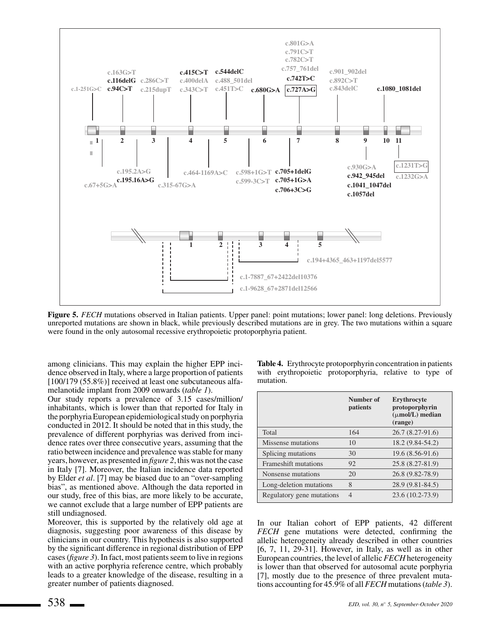<span id="page-6-0"></span>

**Figure 5.** *FECH* mutations observed in Italian patients. Upper panel: point mutations; lower panel: long deletions. Previously unreported mutations are shown in black, while previously described mutations are in grey. The two mutations within a square were found in the only autosomal recessive erythropoietic protoporphyria patient.

among clinicians. This may explain the higher EPP incidence observed in Italy, where a large proportion of patients [100/179 (55.8%)] received at least one subcutaneous alfamelanotide implant from 2009 onwards (*[table 1](#page-2-0)*).

Our study reports a prevalence of 3.15 cases/million/ inhabitants, which is lower than that reported for Italy in the porphyria European epidemiological study on porphyria conducted in 2012. It should be noted that in this study, the prevalence of different porphyrias was derived from incidence rates over three consecutive years, assuming that the ratio between incidence and prevalence was stable for many years, however, as presented in *[figure 2](#page-3-0)*, this was not the case in Italy [\[7\].](#page-7-0) Moreover, the Italian incidence data reported by Elder *et al*. [\[7\] m](#page-7-0)ay be biased due to an "over-sampling bias", as mentioned above. Although the data reported in our study, free of this bias, are more likely to be accurate, we cannot exclude that a large number of EPP patients are still undiagnosed.

Moreover, this is supported by the relatively old age at diagnosis, suggesting poor awareness of this disease by clinicians in our country. This hypothesis is also supported by the significant difference in regional distribution of EPP cases (*[figure 3](#page-4-0)*). In fact, most patients seem to live in regions with an active porphyria reference centre, which probably leads to a greater knowledge of the disease, resulting in a greater number of patients diagnosed.

**Table 4.** Erythrocyte protoporphyrin concentration in patients with erythropoietic protoporphyria, relative to type of mutation.

|                           | Number of<br>patients | Erythrocyte<br>protoporphyrin<br>$(\mu \text{mol/L})$ median<br>(range) |
|---------------------------|-----------------------|-------------------------------------------------------------------------|
| Total                     | 164                   | 26.7 (8.27-91.6)                                                        |
| Missense mutations        | 10                    | 18.2 (9.84-54.2)                                                        |
| Splicing mutations        | 30                    | $19.6(8.56-91.6)$                                                       |
| Frameshift mutations      | 92                    | 25.8 (8.27-81.9)                                                        |
| Nonsense mutations        | 20                    | 26.8 (9.82-78.9)                                                        |
| Long-deletion mutations   | 8                     | 28.9 (9.81-84.5)                                                        |
| Regulatory gene mutations | 4                     | 23.6 (10.2-73.9)                                                        |

In our Italian cohort of EPP patients, 42 different *FECH* gene mutations were detected, confirming the allelic heterogeneity already described in other countries [\[6, 7, 11, 29-31\].](#page-7-0) However, in Italy, as well as in other European countries, the level of allelic *FECH* heterogeneity is lower than that observed for autosomal acute porphyria [\[7\],](#page-7-0) mostly due to the presence of three prevalent mutations accounting for 45.9% of all *FECH* mutations (*[table 3](#page-5-0)*).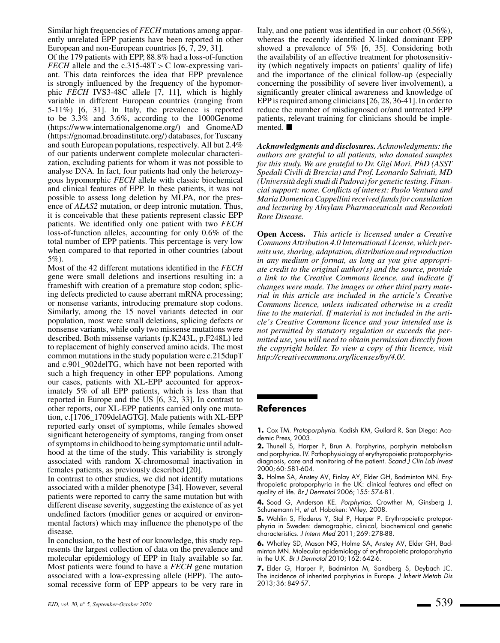<span id="page-7-0"></span>Similar high frequencies of *FECH* mutations among apparently unrelated EPP patients have been reported in other European and non-European countries [6, 7, 29, 31].

Of the 179 patients with EPP, 88.8% had a loss-of-function *FECH* allele and the c.315-48T > C low-expressing variant. This data reinforces the idea that EPP prevalence is strongly influenced by the frequency of the hypomorphic *FECH* IVS3-48C allele [7, 11], which is highly variable in different European countries (ranging from 5-11%) [6, 31]. In Italy, the prevalence is reported to be 3.3% and 3.6%, according to the 1000Genome (https://www.internationalgenome.org/) and GnomeAD (https://gnomad.broadinstitute.org/) databases, for Tuscany and south European populations, respectively. All but 2.4% of our patients underwent complete molecular characterization, excluding patients for whom it was not possible to analyse DNA. In fact, four patients had only the heterozygous hypomorphic *FECH* allele with classic biochemical and clinical features of EPP. In these patients, it was not possible to assess long deletion by MLPA, nor the presence of *ALAS2* mutation, or deep intronic mutation. Thus, it is conceivable that these patients represent classic EPP patients. We identified only one patient with two *FECH* loss-of-function alleles, accounting for only 0.6% of the total number of EPP patients. This percentage is very low when compared to that reported in other countries (about 5%).

Most of the 42 different mutations identified in the *FECH* gene were small deletions and insertions resulting in: a frameshift with creation of a premature stop codon; splicing defects predicted to cause aberrant mRNA processing; or nonsense variants, introducing premature stop codons. Similarly, among the 15 novel variants detected in our population, most were small deletions, splicing defects or nonsense variants, while only two missense mutations were described. Both missense variants (p.K243L, p.F248L) led to replacement of highly conserved amino acids. The most common mutations in the study population were c.215dupT and c.901\_902delTG, which have not been reported with such a high frequency in other EPP populations. Among our cases, patients with XL-EPP accounted for approximately 5% of all EPP patients, which is less than that reported in Europe and the US [6, 32, 33]. In contrast to other reports, our XL-EPP patients carried only one mutation, c.[1706\_1709delAGTG]. Male patients with XL-EPP reported early onset of symptoms, while females showed significant heterogeneity of symptoms, ranging from onset of symptoms in childhood to being symptomatic until adulthood at the time of the study. This variability is strongly associated with random X-chromosomal inactivation in females patients, as previously described [\[20\].](#page-8-0)

In contrast to other studies, we did not identify mutations associated with a milder phenotype [\[34\].](#page-8-0) However, several patients were reported to carry the same mutation but with different disease severity, suggesting the existence of as yet undefined factors (modifier genes or acquired or environmental factors) which may influence the phenotype of the disease.

In conclusion, to the best of our knowledge, this study represents the largest collection of data on the prevalence and molecular epidemiology of EPP in Italy available so far. Most patients were found to have a *FECH* gene mutation associated with a low-expressing allele (EPP). The autosomal recessive form of EPP appears to be very rare in

Italy, and one patient was identified in our cohort (0.56%), whereas the recently identified X-linked dominant EPP showed a prevalence of 5% [6, 35]. Considering both the availability of an effective treatment for photosensitivity (which negatively impacts on patients' quality of life) and the importance of the clinical follow-up (especially concerning the possibility of severe liver involvement), a significantly greater clinical awareness and knowledge of EPP is required among clinicians [\[26, 28, 36-41\]. I](#page-8-0)n order to reduce the number of misdiagnosed or/and untreated EPP patients, relevant training for clinicians should be implemented.  $\blacksquare$ 

*Acknowledgments and disclosures. Acknowledgments: the authors are grateful to all patients, who donated samples for this study. We are grateful to Dr. Gigi Mori, PhD (ASST Spedali Civili di Brescia) and Prof. Leonardo Salviati, MD (Università degli studi di Padova) for genetic testing. Financial support: none. Conflicts of interest: Paolo Ventura and Maria Domenica Cappellini received funds for consultation and lecturing by Alnylam Pharmaceuticals and Recordati Rare Disease.*

**Open Access.** *This article is licensed under a Creative Commons Attribution 4.0 International License, which permits use, sharing, adaptation, distribution and reproduction in any medium or format, as long as you give appropriate credit to the original author(s) and the source, provide a link to the Creative Commons licence, and indicate if changes were made. The images or other third party material in this article are included in the article's Creative Commons licence, unless indicated otherwise in a credit line to the material. If material is not included in the article's Creative Commons licence and your intended use is not permitted by statutory regulation or exceeds the permitted use, you will need to obtain permission directly from the copyright holder. To view a copy of this licence, visit http://creativecommons.org/licenses/by/4.0/.*

#### **References**

**1.** Cox TM. Protoporphyria. Kadish KM, Guilard R. San Diego: Academic Press, 2003.

**2.** Thunell S, Harper P, Brun A. Porphyrins, porphyrin metabolism and porphyrias. IV. Pathophysiology of erythyropoietic protoporphyriadiagnosis, care and monitoring of the patient. Scand J Clin Lab Invest 2000; 60: 581-604.

**3.** Holme SA, Anstey AV, Finlay AY, Elder GH, Badminton MN. Erythropoietic protoporphyria in the UK: clinical features and effect on quality of life. Br J Dermatol 2006; 155: 574-81.

**4.** Sood G, Anderson KE. Porphyrias. Crowther M, Ginsberg J, Schunemann H, et al. Hoboken: Wiley, 2008.

**5.** Wahlin S, Floderus Y, Stal P, Harper P. Erythropoietic protopor[phyria in Sweden: demographic, clinical, biochemical and genetic](http://www.ncbi.nlm.nih.gov/pubmed?term=20412370) characteristics. J Intern Med 2011; 269: 278-88.

**6.** Whatley SD, Mason NG, Holme SA, Anstey AV, Elder GH, Bad[minton MN. Molecular epidemiology of erythropoietic protoporphyria](http://www.ncbi.nlm.nih.gov/pubmed?term=20105171) in the U.K. Br J Dermatol 2010; 162: 642-6.

**7.** [Elder G, Harper P, Badminton M, Sandberg S, Deybach JC.](http://www.ncbi.nlm.nih.gov/pubmed?term=23114748) The incidence of inherited porphyrias in Europe. J Inherit Metab Dis 2013; 36: 849-57.